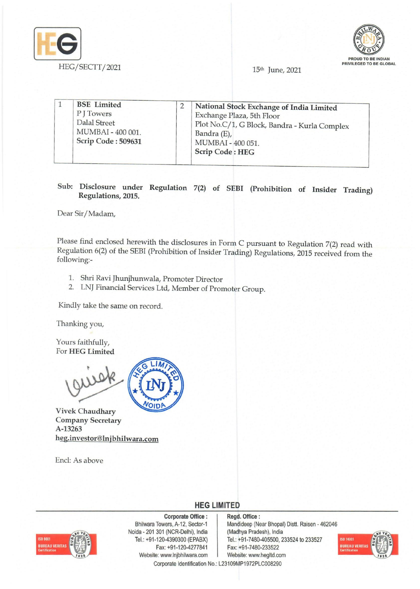



15th June, 2021

| <b>BSE</b> Limited<br>P J Towers<br>Dalal Street<br>MUMBAI - 400 001.<br>Scrip Code: 509631 |  | National Stock Exchange of India Limited<br>Exchange Plaza, 5th Floor<br>Plot No.C/1, G Block, Bandra - Kurla Complex<br>Bandra (E),<br>MUMBAI - 400 051.<br><b>Scrip Code: HEG</b> |
|---------------------------------------------------------------------------------------------|--|-------------------------------------------------------------------------------------------------------------------------------------------------------------------------------------|
|---------------------------------------------------------------------------------------------|--|-------------------------------------------------------------------------------------------------------------------------------------------------------------------------------------|

# Sub: Disclosure under Regulation 7(2) of SEBI (Prohibition of Insider Trading) Regulations, 2015.

Dear Sir/Madam,

Please find enclosed herewith the disclosures in Form C pursuant to Regulation 7(2) read with Regulation 6(2) of the SEBI (Prohibition of Insider Trading) Regulations, 2015 received from the following:-

- 1. Shri Ravi Jhunjhunwala, Promoter Director
- 2. LNJ Financial Services Ltd, Member of Promoter Group.

Kindly take the same on record.

Thanking you,

Yours faithfully, For HEG Limited



Vivek Chaudhary Company Secretary A-13263 heg.investor@lnjbhilwara.com

Encl: As above



# **HEG LIMITED**

## Corporate Office: | Regd. Office:

**JREAU VERITA** 

Noida - 201 301 (NCR-Delhi), India (Madhya Pradesh), India Fax: +91-120-4277841 Fax: +91-7480-233522 Website: www.lnjbhilwara.com | Website: www.hegltd.com Corporate Identification No.: L23109MP1972PLC008290

Bhilwara Towers, A-12, Sector-1 Mandideep (Near Bhopal) Distt. Raisen - 462046 Tel.: +91-120-4390300 (EPABX) Tel.: +91-7480-405500, 233524 to 233527

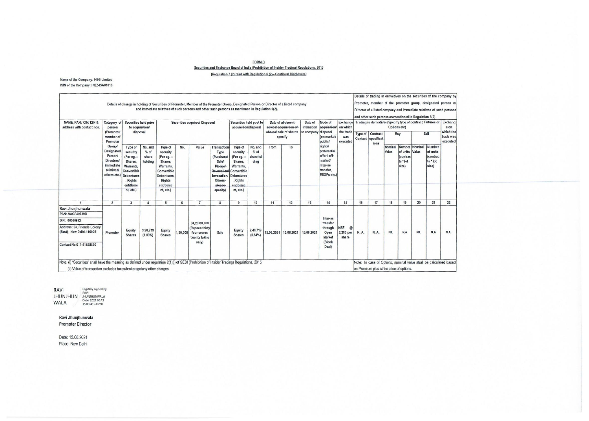## <u>FORM C</u><br>Securities and Exchange Board of India (Prohibition of Insider Trading) Regulations, 2015 [Regulation 7 (2) read with Regulation 6 (2)- Continual Disclosure]

#### Name of the Company: HEG Limited ISIN of the Company: INE545A0101

| NAME. PAN / CIN/ DIN &<br>address with contact nos.                                                                                         | Category of<br>person<br>(Promoter/<br>member of<br>Promoter<br><b>Group/</b><br>Designated<br>Person/<br><b>Directors/</b><br>immediate<br><i>relatives/</i><br>others etc.) Debentures | Securities held prior<br>to acquisition/<br>disposal                                                           |                                       | and immediate relatives of such persons and other such persons as mentioned in Regulation 6(2).<br>Securities acquired/ Disposed         |          |                                                                        |                                                                                                                                          | Securities held post to<br>acquisition/disposal                                                                                    |                                       | Date of allotment<br>advice/-acquisition of<br>shares/ sale of shares |                                                                                                                            | Date of<br>intimation<br>to company | Mode of<br>acquisition/<br>disposal                                  | Exchange<br>on which<br>the trade               | Director of a listed company and immediate relatives of such persons<br>and other such persons as mentioned in Regulation 6(2).<br>Trading in derivatives (Specify type of contract, Futures or Exchang<br>Options etc)<br>e on<br>which the<br>Sell<br>Contract<br>Type of<br>Buy |                                           |                         |                                                                   |                       |     |      |
|---------------------------------------------------------------------------------------------------------------------------------------------|------------------------------------------------------------------------------------------------------------------------------------------------------------------------------------------|----------------------------------------------------------------------------------------------------------------|---------------------------------------|------------------------------------------------------------------------------------------------------------------------------------------|----------|------------------------------------------------------------------------|------------------------------------------------------------------------------------------------------------------------------------------|------------------------------------------------------------------------------------------------------------------------------------|---------------------------------------|-----------------------------------------------------------------------|----------------------------------------------------------------------------------------------------------------------------|-------------------------------------|----------------------------------------------------------------------|-------------------------------------------------|------------------------------------------------------------------------------------------------------------------------------------------------------------------------------------------------------------------------------------------------------------------------------------|-------------------------------------------|-------------------------|-------------------------------------------------------------------|-----------------------|-----|------|
|                                                                                                                                             |                                                                                                                                                                                          | Type of<br>security<br>(For eg. -<br>Shares.<br>Warrants.<br>Convertible<br>, Rights<br>entitleme<br>nt, etc.) | No. and<br>$%$ of<br>share<br>holding | Type of<br>security<br>(For eg. -<br>Shares.<br>Warrants,<br>Convertible<br><b>Debentures</b><br><b>Rights</b><br>entitleme<br>nt, etc.) | No.      | Value                                                                  | <b>Transaction</b><br>Type<br>(Purchase)<br><b>Sale/</b><br><b>Pledgel</b><br>Revocation<br>Invocation/<br>Others-<br>please<br>specify) | Type of<br>security<br>(For eg. -<br>Shares.<br>Warrants,<br>Convertible<br><b>Debentures</b><br>,Rights<br>entitleme<br>nt, etc.) | No. and<br>$%$ of<br>sharehol<br>ding | specify<br>To<br>From                                                 | (on market/<br><b>public/</b><br>rights/<br>preferential<br>offer / off-<br>market<br>Inter-se<br>transfer.<br>ESOPs etc.) | was<br>executed                     |                                                                      | Contact   specificat<br>ions                    | Nominal<br>Value                                                                                                                                                                                                                                                                   | of units<br>(contrac<br>ts * lot<br>size) | Number Nominal<br>Value | Number<br>of units<br><i><b>fcontrac</b></i><br>ts * lot<br>size) | trade was<br>executed |     |      |
|                                                                                                                                             | $\overline{2}$                                                                                                                                                                           | 3                                                                                                              | $\Delta$                              | 5                                                                                                                                        | 6        | $\overline{7}$                                                         | 8                                                                                                                                        | 9                                                                                                                                  | 10                                    | 11                                                                    | 12                                                                                                                         | 13                                  | 14                                                                   | 15                                              | 16                                                                                                                                                                                                                                                                                 | 17                                        | 18                      | 19                                                                | 20                    | 21  | 22   |
| Ravi Jhunjhunwala<br>PAN: AAGPJ0739D<br>DIN: 00060972<br>Address: 63, Friends Colony<br>(East), New Delhi-110025<br>Contact No.011-41628890 | Promoter                                                                                                                                                                                 | Equity<br><b>Shares</b>                                                                                        | 3,98,719<br>$(1.03\%)$                | Equity<br><b>Shares</b>                                                                                                                  | 1,50,000 | 34,20,00,000<br>(Rupees thirty<br>four crores<br>twenty lakhs<br>only) | Sale                                                                                                                                     | Equity<br><b>Shares</b>                                                                                                            | 2,48,719<br>(0.64%)                   | 15,06,2021                                                            | 15,06,2021                                                                                                                 | 15,06,2021                          | Inter-se<br>transfer<br>through<br>Open<br>Market<br>(Block<br>Deal) | <b>NSE</b><br>$^{\omega}$<br>2,280 per<br>share | N.A.                                                                                                                                                                                                                                                                               | N.A.                                      | <b>NIL</b>              | <b>N.A</b>                                                        | NIL                   | N.A | N.A. |

RAVI JHUNJHUN WALA Digitally signed by RAVI JHUNJHUNWALA Date: 2021.06.15 15:03:45 +05'30'

#### Ravi Jhunjhunwala Promoter Director

Date: 15.06.2021 Place: New Delhi